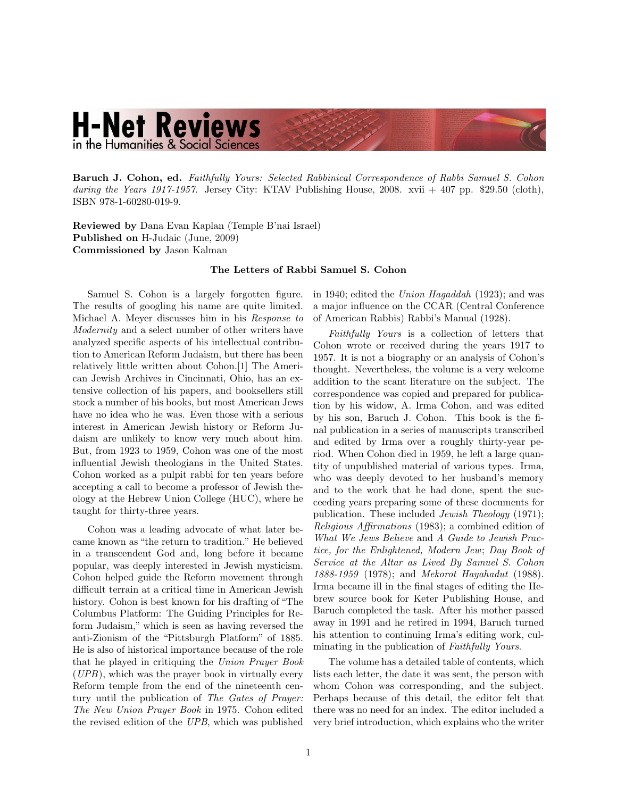## **H-Net Reviews** in the Humanities & Social Sciences

Baruch J. Cohon, ed. [Faithfully Yours: Selected Rabbinical Correspondence of Rabbi Samuel S. Cohon](http://www.amazon.com/exec/obidos/ASIN/1602800197) [during the Years 1917-1957.](http://www.amazon.com/exec/obidos/ASIN/1602800197) Jersey City: KTAV Publishing House, 2008. xvii  $+407$  pp. \$29.50 (cloth), ISBN 978-1-60280-019-9.

Reviewed by Dana Evan Kaplan (Temple B'nai Israel) Published on H-Judaic (June, 2009) Commissioned by Jason Kalman

## The Letters of Rabbi Samuel S. Cohon

Samuel S. Cohon is a largely forgotten figure. The results of googling his name are quite limited. Michael A. Meyer discusses him in his Response to Modernity and a select number of other writers have analyzed specific aspects of his intellectual contribution to American Reform Judaism, but there has been relatively little written about Cohon.[1] The American Jewish Archives in Cincinnati, Ohio, has an extensive collection of his papers, and booksellers still stock a number of his books, but most American Jews have no idea who he was. Even those with a serious interest in American Jewish history or Reform Judaism are unlikely to know very much about him. But, from 1923 to 1959, Cohon was one of the most influential Jewish theologians in the United States. Cohon worked as a pulpit rabbi for ten years before accepting a call to become a professor of Jewish theology at the Hebrew Union College (HUC), where he taught for thirty-three years.

Cohon was a leading advocate of what later became known as "the return to tradition." He believed in a transcendent God and, long before it became popular, was deeply interested in Jewish mysticism. Cohon helped guide the Reform movement through difficult terrain at a critical time in American Jewish history. Cohon is best known for his drafting of "The Columbus Platform: The Guiding Principles for Reform Judaism," which is seen as having reversed the anti-Zionism of the "Pittsburgh Platform" of 1885. He is also of historical importance because of the role that he played in critiquing the Union Prayer Book (UPB), which was the prayer book in virtually every Reform temple from the end of the nineteenth century until the publication of The Gates of Prayer: The New Union Prayer Book in 1975. Cohon edited the revised edition of the UPB, which was published

in 1940; edited the Union Hagaddah (1923); and was a major influence on the CCAR (Central Conference of American Rabbis) Rabbi's Manual (1928).

Faithfully Yours is a collection of letters that Cohon wrote or received during the years 1917 to 1957. It is not a biography or an analysis of Cohon's thought. Nevertheless, the volume is a very welcome addition to the scant literature on the subject. The correspondence was copied and prepared for publication by his widow, A. Irma Cohon, and was edited by his son, Baruch J. Cohon. This book is the final publication in a series of manuscripts transcribed and edited by Irma over a roughly thirty-year period. When Cohon died in 1959, he left a large quantity of unpublished material of various types. Irma, who was deeply devoted to her husband's memory and to the work that he had done, spent the succeeding years preparing some of these documents for publication. These included Jewish Theology (1971); Religious Affirmations (1983); a combined edition of What We Jews Believe and A Guide to Jewish Practice, for the Enlightened, Modern Jew; Day Book of Service at the Altar as Lived By Samuel S. Cohon 1888-1959 (1978); and Mekorot Hayahadut (1988). Irma became ill in the final stages of editing the Hebrew source book for Keter Publishing House, and Baruch completed the task. After his mother passed away in 1991 and he retired in 1994, Baruch turned his attention to continuing Irma's editing work, culminating in the publication of Faithfully Yours.

The volume has a detailed table of contents, which lists each letter, the date it was sent, the person with whom Cohon was corresponding, and the subject. Perhaps because of this detail, the editor felt that there was no need for an index. The editor included a very brief introduction, which explains who the writer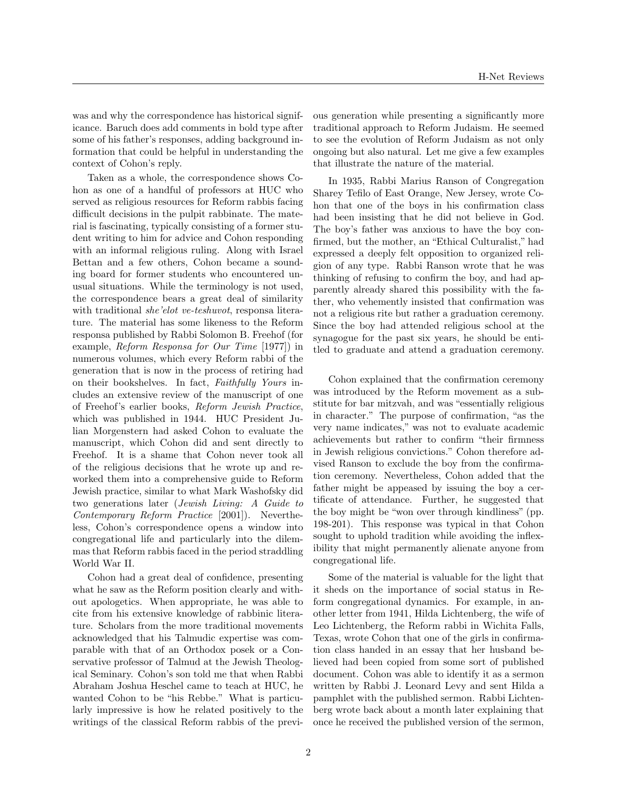was and why the correspondence has historical significance. Baruch does add comments in bold type after some of his father's responses, adding background information that could be helpful in understanding the context of Cohon's reply.

Taken as a whole, the correspondence shows Cohon as one of a handful of professors at HUC who served as religious resources for Reform rabbis facing difficult decisions in the pulpit rabbinate. The material is fascinating, typically consisting of a former student writing to him for advice and Cohon responding with an informal religious ruling. Along with Israel Bettan and a few others, Cohon became a sounding board for former students who encountered unusual situations. While the terminology is not used, the correspondence bears a great deal of similarity with traditional *she'elot ve-teshuvot*, responsa literature. The material has some likeness to the Reform responsa published by Rabbi Solomon B. Freehof (for example, Reform Responsa for Our Time [1977]) in numerous volumes, which every Reform rabbi of the generation that is now in the process of retiring had on their bookshelves. In fact, Faithfully Yours includes an extensive review of the manuscript of one of Freehof's earlier books, Reform Jewish Practice, which was published in 1944. HUC President Julian Morgenstern had asked Cohon to evaluate the manuscript, which Cohon did and sent directly to Freehof. It is a shame that Cohon never took all of the religious decisions that he wrote up and reworked them into a comprehensive guide to Reform Jewish practice, similar to what Mark Washofsky did two generations later (Jewish Living: A Guide to Contemporary Reform Practice [2001]). Nevertheless, Cohon's correspondence opens a window into congregational life and particularly into the dilemmas that Reform rabbis faced in the period straddling World War II.

Cohon had a great deal of confidence, presenting what he saw as the Reform position clearly and without apologetics. When appropriate, he was able to cite from his extensive knowledge of rabbinic literature. Scholars from the more traditional movements acknowledged that his Talmudic expertise was comparable with that of an Orthodox posek or a Conservative professor of Talmud at the Jewish Theological Seminary. Cohon's son told me that when Rabbi Abraham Joshua Heschel came to teach at HUC, he wanted Cohon to be "his Rebbe." What is particularly impressive is how he related positively to the writings of the classical Reform rabbis of the previous generation while presenting a significantly more traditional approach to Reform Judaism. He seemed to see the evolution of Reform Judaism as not only ongoing but also natural. Let me give a few examples that illustrate the nature of the material.

In 1935, Rabbi Marius Ranson of Congregation Sharey Tefilo of East Orange, New Jersey, wrote Cohon that one of the boys in his confirmation class had been insisting that he did not believe in God. The boy's father was anxious to have the boy confirmed, but the mother, an "Ethical Culturalist," had expressed a deeply felt opposition to organized religion of any type. Rabbi Ranson wrote that he was thinking of refusing to confirm the boy, and had apparently already shared this possibility with the father, who vehemently insisted that confirmation was not a religious rite but rather a graduation ceremony. Since the boy had attended religious school at the synagogue for the past six years, he should be entitled to graduate and attend a graduation ceremony.

Cohon explained that the confirmation ceremony was introduced by the Reform movement as a substitute for bar mitzvah, and was "essentially religious in character." The purpose of confirmation, "as the very name indicates," was not to evaluate academic achievements but rather to confirm "their firmness in Jewish religious convictions." Cohon therefore advised Ranson to exclude the boy from the confirmation ceremony. Nevertheless, Cohon added that the father might be appeased by issuing the boy a certificate of attendance. Further, he suggested that the boy might be "won over through kindliness" (pp. 198-201). This response was typical in that Cohon sought to uphold tradition while avoiding the inflexibility that might permanently alienate anyone from congregational life.

Some of the material is valuable for the light that it sheds on the importance of social status in Reform congregational dynamics. For example, in another letter from 1941, Hilda Lichtenberg, the wife of Leo Lichtenberg, the Reform rabbi in Wichita Falls, Texas, wrote Cohon that one of the girls in confirmation class handed in an essay that her husband believed had been copied from some sort of published document. Cohon was able to identify it as a sermon written by Rabbi J. Leonard Levy and sent Hilda a pamphlet with the published sermon. Rabbi Lichtenberg wrote back about a month later explaining that once he received the published version of the sermon,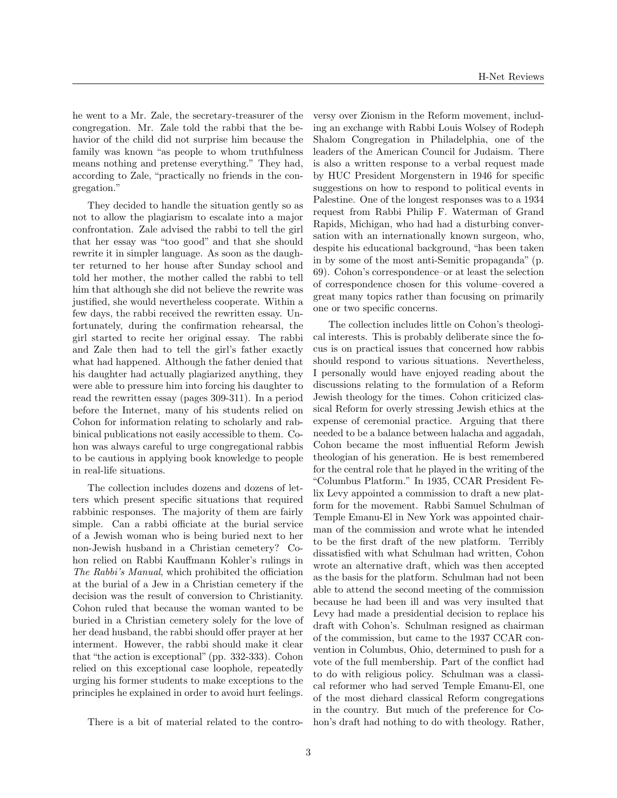he went to a Mr. Zale, the secretary-treasurer of the congregation. Mr. Zale told the rabbi that the behavior of the child did not surprise him because the family was known "as people to whom truthfulness means nothing and pretense everything." They had, according to Zale, "practically no friends in the congregation."

They decided to handle the situation gently so as not to allow the plagiarism to escalate into a major confrontation. Zale advised the rabbi to tell the girl that her essay was "too good" and that she should rewrite it in simpler language. As soon as the daughter returned to her house after Sunday school and told her mother, the mother called the rabbi to tell him that although she did not believe the rewrite was justified, she would nevertheless cooperate. Within a few days, the rabbi received the rewritten essay. Unfortunately, during the confirmation rehearsal, the girl started to recite her original essay. The rabbi and Zale then had to tell the girl's father exactly what had happened. Although the father denied that his daughter had actually plagiarized anything, they were able to pressure him into forcing his daughter to read the rewritten essay (pages 309-311). In a period before the Internet, many of his students relied on Cohon for information relating to scholarly and rabbinical publications not easily accessible to them. Cohon was always careful to urge congregational rabbis to be cautious in applying book knowledge to people in real-life situations.

The collection includes dozens and dozens of letters which present specific situations that required rabbinic responses. The majority of them are fairly simple. Can a rabbi officiate at the burial service of a Jewish woman who is being buried next to her non-Jewish husband in a Christian cemetery? Cohon relied on Rabbi Kauffmann Kohler's rulings in The Rabbi's Manual, which prohibited the officiation at the burial of a Jew in a Christian cemetery if the decision was the result of conversion to Christianity. Cohon ruled that because the woman wanted to be buried in a Christian cemetery solely for the love of her dead husband, the rabbi should offer prayer at her interment. However, the rabbi should make it clear that "the action is exceptional" (pp. 332-333). Cohon relied on this exceptional case loophole, repeatedly urging his former students to make exceptions to the principles he explained in order to avoid hurt feelings.

There is a bit of material related to the contro-

versy over Zionism in the Reform movement, including an exchange with Rabbi Louis Wolsey of Rodeph Shalom Congregation in Philadelphia, one of the leaders of the American Council for Judaism. There is also a written response to a verbal request made by HUC President Morgenstern in 1946 for specific suggestions on how to respond to political events in Palestine. One of the longest responses was to a 1934 request from Rabbi Philip F. Waterman of Grand Rapids, Michigan, who had had a disturbing conversation with an internationally known surgeon, who, despite his educational background, "has been taken in by some of the most anti-Semitic propaganda" (p. 69). Cohon's correspondence–or at least the selection of correspondence chosen for this volume–covered a great many topics rather than focusing on primarily one or two specific concerns.

The collection includes little on Cohon's theological interests. This is probably deliberate since the focus is on practical issues that concerned how rabbis should respond to various situations. Nevertheless, I personally would have enjoyed reading about the discussions relating to the formulation of a Reform Jewish theology for the times. Cohon criticized classical Reform for overly stressing Jewish ethics at the expense of ceremonial practice. Arguing that there needed to be a balance between halacha and aggadah, Cohon became the most influential Reform Jewish theologian of his generation. He is best remembered for the central role that he played in the writing of the "Columbus Platform." In 1935, CCAR President Felix Levy appointed a commission to draft a new platform for the movement. Rabbi Samuel Schulman of Temple Emanu-El in New York was appointed chairman of the commission and wrote what he intended to be the first draft of the new platform. Terribly dissatisfied with what Schulman had written, Cohon wrote an alternative draft, which was then accepted as the basis for the platform. Schulman had not been able to attend the second meeting of the commission because he had been ill and was very insulted that Levy had made a presidential decision to replace his draft with Cohon's. Schulman resigned as chairman of the commission, but came to the 1937 CCAR convention in Columbus, Ohio, determined to push for a vote of the full membership. Part of the conflict had to do with religious policy. Schulman was a classical reformer who had served Temple Emanu-El, one of the most diehard classical Reform congregations in the country. But much of the preference for Cohon's draft had nothing to do with theology. Rather,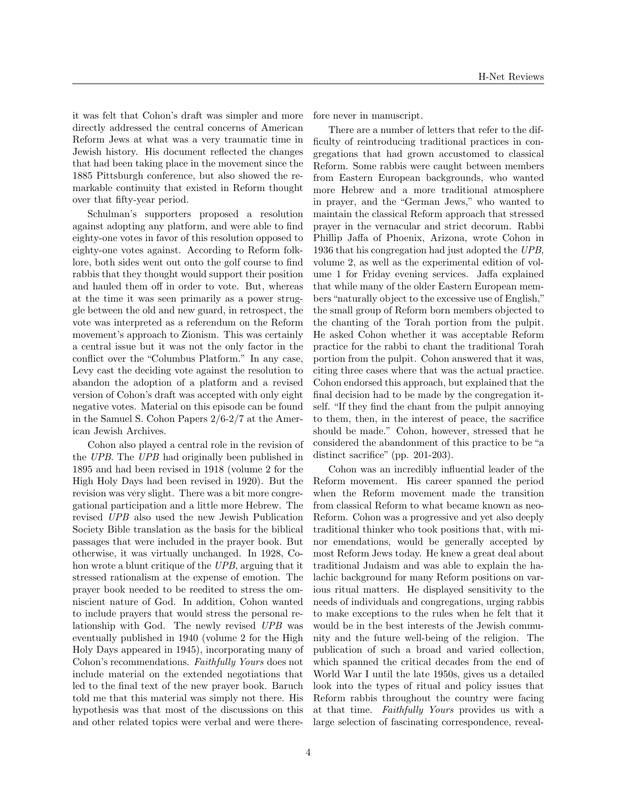it was felt that Cohon's draft was simpler and more directly addressed the central concerns of American Reform Jews at what was a very traumatic time in Jewish history. His document reflected the changes that had been taking place in the movement since the 1885 Pittsburgh conference, but also showed the remarkable continuity that existed in Reform thought over that fifty-year period.

Schulman's supporters proposed a resolution against adopting any platform, and were able to find eighty-one votes in favor of this resolution opposed to eighty-one votes against. According to Reform folklore, both sides went out onto the golf course to find rabbis that they thought would support their position and hauled them off in order to vote. But, whereas at the time it was seen primarily as a power struggle between the old and new guard, in retrospect, the vote was interpreted as a referendum on the Reform movement's approach to Zionism. This was certainly a central issue but it was not the only factor in the conflict over the "Columbus Platform." In any case, Levy cast the deciding vote against the resolution to abandon the adoption of a platform and a revised version of Cohon's draft was accepted with only eight negative votes. Material on this episode can be found in the Samuel S. Cohon Papers 2/6-2/7 at the American Jewish Archives.

Cohon also played a central role in the revision of the UPB. The UPB had originally been published in 1895 and had been revised in 1918 (volume 2 for the High Holy Days had been revised in 1920). But the revision was very slight. There was a bit more congregational participation and a little more Hebrew. The revised UPB also used the new Jewish Publication Society Bible translation as the basis for the biblical passages that were included in the prayer book. But otherwise, it was virtually unchanged. In 1928, Cohon wrote a blunt critique of the UPB, arguing that it stressed rationalism at the expense of emotion. The prayer book needed to be reedited to stress the omniscient nature of God. In addition, Cohon wanted to include prayers that would stress the personal relationship with God. The newly revised UPB was eventually published in 1940 (volume 2 for the High Holy Days appeared in 1945), incorporating many of Cohon's recommendations. Faithfully Yours does not include material on the extended negotiations that led to the final text of the new prayer book. Baruch told me that this material was simply not there. His hypothesis was that most of the discussions on this and other related topics were verbal and were therefore never in manuscript.

There are a number of letters that refer to the difficulty of reintroducing traditional practices in congregations that had grown accustomed to classical Reform. Some rabbis were caught between members from Eastern European backgrounds, who wanted more Hebrew and a more traditional atmosphere in prayer, and the "German Jews," who wanted to maintain the classical Reform approach that stressed prayer in the vernacular and strict decorum. Rabbi Phillip Jaffa of Phoenix, Arizona, wrote Cohon in 1936 that his congregation had just adopted the UPB, volume 2, as well as the experimental edition of volume 1 for Friday evening services. Jaffa explained that while many of the older Eastern European members "naturally object to the excessive use of English," the small group of Reform born members objected to the chanting of the Torah portion from the pulpit. He asked Cohon whether it was acceptable Reform practice for the rabbi to chant the traditional Torah portion from the pulpit. Cohon answered that it was, citing three cases where that was the actual practice. Cohon endorsed this approach, but explained that the final decision had to be made by the congregation itself. "If they find the chant from the pulpit annoying to them, then, in the interest of peace, the sacrifice should be made." Cohon, however, stressed that he considered the abandonment of this practice to be "a distinct sacrifice" (pp. 201-203).

Cohon was an incredibly influential leader of the Reform movement. His career spanned the period when the Reform movement made the transition from classical Reform to what became known as neo-Reform. Cohon was a progressive and yet also deeply traditional thinker who took positions that, with minor emendations, would be generally accepted by most Reform Jews today. He knew a great deal about traditional Judaism and was able to explain the halachic background for many Reform positions on various ritual matters. He displayed sensitivity to the needs of individuals and congregations, urging rabbis to make exceptions to the rules when he felt that it would be in the best interests of the Jewish community and the future well-being of the religion. The publication of such a broad and varied collection, which spanned the critical decades from the end of World War I until the late 1950s, gives us a detailed look into the types of ritual and policy issues that Reform rabbis throughout the country were facing at that time. Faithfully Yours provides us with a large selection of fascinating correspondence, reveal